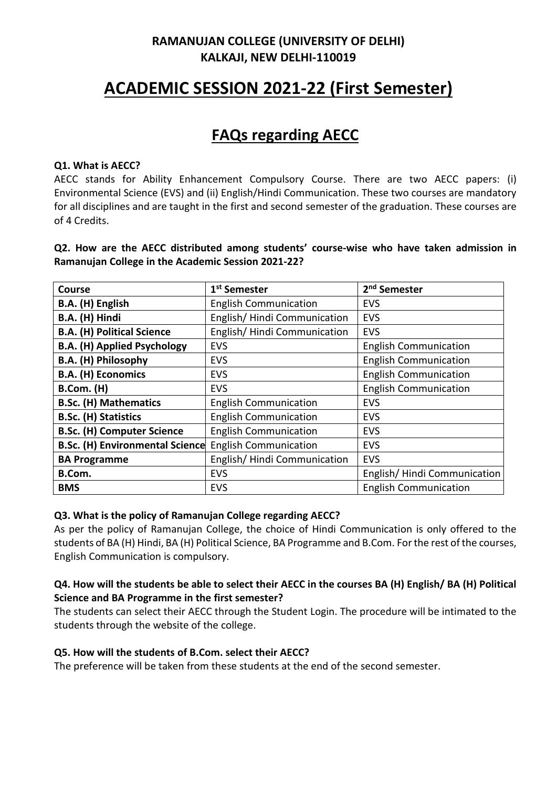### **RAMANUJAN COLLEGE (UNIVERSITY OF DELHI) KALKAJI, NEW DELHI-110019**

# **ACADEMIC SESSION 2021-22 (First Semester)**

## **FAQs regarding AECC**

#### **Q1. What is AECC?**

AECC stands for Ability Enhancement Compulsory Course. There are two AECC papers: (i) Environmental Science (EVS) and (ii) English/Hindi Communication. These two courses are mandatory for all disciplines and are taught in the first and second semester of the graduation. These courses are of 4 Credits.

**Q2. How are the AECC distributed among students' course-wise who have taken admission in Ramanujan College in the Academic Session 2021-22?**

| <b>Course</b>                          | 1 <sup>st</sup> Semester     | 2 <sup>nd</sup> Semester     |
|----------------------------------------|------------------------------|------------------------------|
| B.A. (H) English                       | <b>English Communication</b> | <b>EVS</b>                   |
| B.A. (H) Hindi                         | English/Hindi Communication  | <b>EVS</b>                   |
| <b>B.A. (H) Political Science</b>      | English/Hindi Communication  | <b>EVS</b>                   |
| <b>B.A. (H) Applied Psychology</b>     | EVS                          | <b>English Communication</b> |
| B.A. (H) Philosophy                    | <b>EVS</b>                   | <b>English Communication</b> |
| <b>B.A. (H) Economics</b>              | EVS                          | <b>English Communication</b> |
| <b>B.Com.</b> (H)                      | <b>EVS</b>                   | <b>English Communication</b> |
| <b>B.Sc. (H) Mathematics</b>           | <b>English Communication</b> | <b>EVS</b>                   |
| <b>B.Sc. (H) Statistics</b>            | <b>English Communication</b> | <b>EVS</b>                   |
| <b>B.Sc. (H) Computer Science</b>      | <b>English Communication</b> | <b>EVS</b>                   |
| <b>B.Sc. (H) Environmental Science</b> | <b>English Communication</b> | <b>EVS</b>                   |
| <b>BA Programme</b>                    | English/Hindi Communication  | <b>EVS</b>                   |
| B.Com.                                 | <b>EVS</b>                   | English/Hindi Communication  |
| <b>BMS</b>                             | <b>EVS</b>                   | <b>English Communication</b> |

#### **Q3. What is the policy of Ramanujan College regarding AECC?**

As per the policy of Ramanujan College, the choice of Hindi Communication is only offered to the students of BA (H) Hindi, BA (H) Political Science, BA Programme and B.Com. For the rest of the courses, English Communication is compulsory.

#### **Q4. How will the students be able to select their AECC in the courses BA (H) English/ BA (H) Political Science and BA Programme in the first semester?**

The students can select their AECC through the Student Login. The procedure will be intimated to the students through the website of the college.

#### **Q5. How will the students of B.Com. select their AECC?**

The preference will be taken from these students at the end of the second semester.